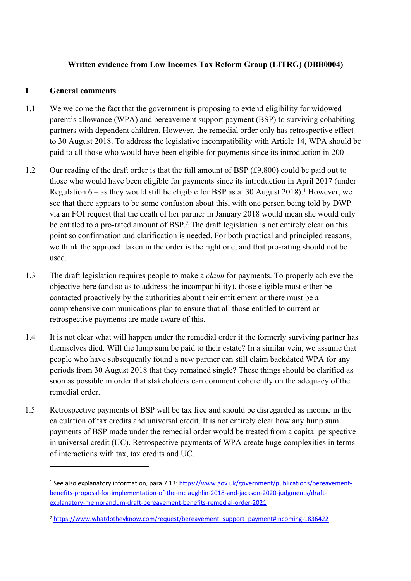## **Written evidence from Low Incomes Tax Reform Group (LITRG) (DBB0004)**

#### **1 General comments**

- 1.1 We welcome the fact that the government is proposing to extend eligibility for widowed parent's allowance (WPA) and bereavement support payment (BSP) to surviving cohabiting partners with dependent children. However, the remedial order only has retrospective effect to 30 August 2018. To address the legislative incompatibility with Article 14, WPA should be paid to all those who would have been eligible for payments since its introduction in 2001.
- 1.2 Our reading of the draft order is that the full amount of BSP (£9,800) could be paid out to those who would have been eligible for payments since its introduction in April 2017 (under Regulation 6 – as they would still be eligible for BSP as at 30 August 2018).<sup>1</sup> However, we see that there appears to be some confusion about this, with one person being told by DWP via an FOI request that the death of her partner in January 2018 would mean she would only be entitled to a pro-rated amount of BSP.<sup>2</sup> The draft legislation is not entirely clear on this point so confirmation and clarification is needed. For both practical and principled reasons, we think the approach taken in the order is the right one, and that pro-rating should not be used.
- 1.3 The draft legislation requires people to make a *claim* for payments. To properly achieve the objective here (and so as to address the incompatibility), those eligible must either be contacted proactively by the authorities about their entitlement or there must be a comprehensive communications plan to ensure that all those entitled to current or retrospective payments are made aware of this.
- 1.4 It is not clear what will happen under the remedial order if the formerly surviving partner has themselves died. Will the lump sum be paid to their estate? In a similar vein, we assume that people who have subsequently found a new partner can still claim backdated WPA for any periods from 30 August 2018 that they remained single? These things should be clarified as soon as possible in order that stakeholders can comment coherently on the adequacy of the remedial order.
- 1.5 Retrospective payments of BSP will be tax free and should be disregarded as income in the calculation of tax credits and universal credit. It is not entirely clear how any lump sum payments of BSP made under the remedial order would be treated from a capital perspective in universal credit (UC). Retrospective payments of WPA create huge complexities in terms of interactions with tax, tax credits and UC.

<sup>&</sup>lt;sup>1</sup> See also explanatory information, para 7.13: [https://www.gov.uk/government/publications/bereavement](https://www.gov.uk/government/publications/bereavement-benefits-proposal-for-implementation-of-the-mclaughlin-2018-and-jackson-2020-judgments/draft-explanatory-memorandum-draft-bereavement-benefits-remedial-order-2021)[benefits-proposal-for-implementation-of-the-mclaughlin-2018-and-jackson-2020-judgments/draft](https://www.gov.uk/government/publications/bereavement-benefits-proposal-for-implementation-of-the-mclaughlin-2018-and-jackson-2020-judgments/draft-explanatory-memorandum-draft-bereavement-benefits-remedial-order-2021)[explanatory-memorandum-draft-bereavement-benefits-remedial-order-2021](https://www.gov.uk/government/publications/bereavement-benefits-proposal-for-implementation-of-the-mclaughlin-2018-and-jackson-2020-judgments/draft-explanatory-memorandum-draft-bereavement-benefits-remedial-order-2021)

<sup>2</sup> [https://www.whatdotheyknow.com/request/bereavement\\_support\\_payment#incoming-1836422](https://www.whatdotheyknow.com/request/bereavement_support_payment#incoming-1836422)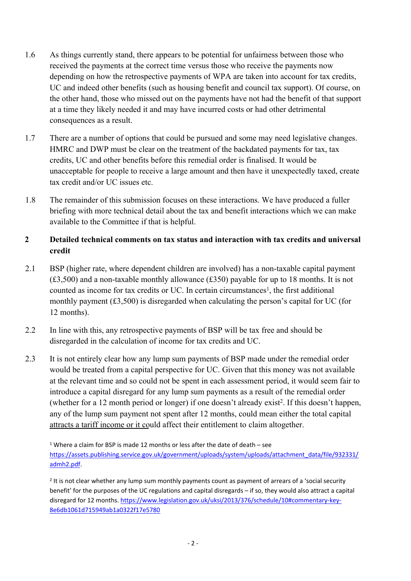- 1.6 As things currently stand, there appears to be potential for unfairness between those who received the payments at the correct time versus those who receive the payments now depending on how the retrospective payments of WPA are taken into account for tax credits, UC and indeed other benefits (such as housing benefit and council tax support). Of course, on the other hand, those who missed out on the payments have not had the benefit of that support at a time they likely needed it and may have incurred costs or had other detrimental consequences as a result.
- 1.7 There are a number of options that could be pursued and some may need legislative changes. HMRC and DWP must be clear on the treatment of the backdated payments for tax, tax credits, UC and other benefits before this remedial order is finalised. It would be unacceptable for people to receive a large amount and then have it unexpectedly taxed, create tax credit and/or UC issues etc.
- 1.8 The remainder of this submission focuses on these interactions. We have produced a fuller briefing with more technical detail about the tax and benefit interactions which we can make available to the Committee if that is helpful.

# **2 Detailed technical comments on tax status and interaction with tax credits and universal credit**

- 2.1 BSP (higher rate, where dependent children are involved) has a non-taxable capital payment (£3,500) and a non-taxable monthly allowance (£350) payable for up to 18 months. It is not counted as income for tax credits or UC. In certain circumstances<sup>1</sup>, the first additional monthly payment (£3,500) is disregarded when calculating the person's capital for UC (for 12 months).
- 2.2 In line with this, any retrospective payments of BSP will be tax free and should be disregarded in the calculation of income for tax credits and UC.
- 2.3 It is not entirely clear how any lump sum payments of BSP made under the remedial order would be treated from a capital perspective for UC. Given that this money was not available at the relevant time and so could not be spent in each assessment period, it would seem fair to introduce a capital disregard for any lump sum payments as a result of the remedial order (whether for a 12 month period or longer) if one doesn't already exist<sup>2</sup> . If this doesn't happen, any of the lump sum payment not spent after 12 months, could mean either the total capital attracts a tariff income or it could affect their entitlement to claim altogether.

<sup>1</sup> Where a claim for BSP is made 12 months or less after the date of death  $-$  see [https://assets.publishing.service.gov.uk/government/uploads/system/uploads/attachment\\_data/file/932331/](https://assets.publishing.service.gov.uk/government/uploads/system/uploads/attachment_data/file/932331/admh2.pdf) [admh2.pdf](https://assets.publishing.service.gov.uk/government/uploads/system/uploads/attachment_data/file/932331/admh2.pdf).

<sup>2</sup> It is not clear whether any lump sum monthly payments count as payment of arrears of a 'social security benefit' for the purposes of the UC regulations and capital disregards – if so, they would also attract a capital disregard for 12 months. [https://www.legislation.gov.uk/uksi/2013/376/schedule/10#commentary-key-](https://www.legislation.gov.uk/uksi/2013/376/schedule/10#commentary-key-8e6db1061d715949ab1a0322f17e5780)[8e6db1061d715949ab1a0322f17e5780](https://www.legislation.gov.uk/uksi/2013/376/schedule/10#commentary-key-8e6db1061d715949ab1a0322f17e5780)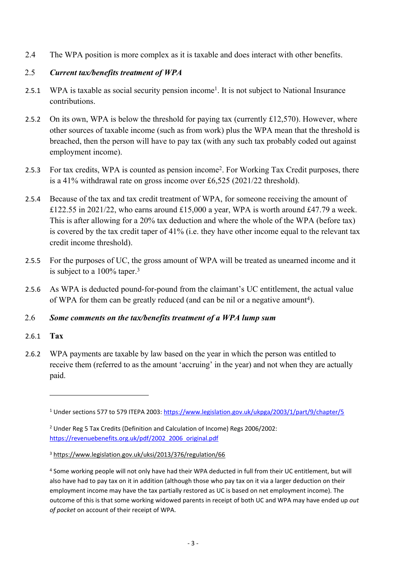2.4 The WPA position is more complex as it is taxable and does interact with other benefits.

## 2.5 *Current tax/benefits treatment of WPA*

- 2.5.1 WPA is taxable as social security pension income<sup>1</sup>. It is not subject to National Insurance contributions.
- 2.5.2 On its own, WPA is below the threshold for paying tax (currently £12,570). However, where other sources of taxable income (such as from work) plus the WPA mean that the threshold is breached, then the person will have to pay tax (with any such tax probably coded out against employment income).
- 2.5.3 For tax credits, WPA is counted as pension income<sup>2</sup>. For Working Tax Credit purposes, there is a 41% withdrawal rate on gross income over £6,525 (2021/22 threshold).
- 2.5.4 Because of the tax and tax credit treatment of WPA, for someone receiving the amount of £122.55 in 2021/22, who earns around £15,000 a year, WPA is worth around £47.79 a week. This is after allowing for a 20% tax deduction and where the whole of the WPA (before tax) is covered by the tax credit taper of 41% (i.e. they have other income equal to the relevant tax credit income threshold).
- 2.5.5 For the purposes of UC, the gross amount of WPA will be treated as unearned income and it is subject to a 100% taper.<sup>3</sup>
- 2.5.6 As WPA is deducted pound-for-pound from the claimant's UC entitlement, the actual value of WPA for them can be greatly reduced (and can be nil or a negative amount<sup>4</sup>).

#### 2.6 *Some comments on the tax/benefits treatment of a WPA lump sum*

- 2.6.1 **Tax**
- 2.6.2 WPA payments are taxable by law based on the year in which the person was entitled to receive them (referred to as the amount 'accruing' in the year) and not when they are actually paid.

<sup>1</sup> Under sections 577 to 579 ITEPA 2003: <https://www.legislation.gov.uk/ukpga/2003/1/part/9/chapter/5>

<sup>2</sup> Under Reg 5 Tax Credits (Definition and Calculation of Income) Regs 2006/2002: [https://revenuebenefits.org.uk/pdf/2002\\_2006\\_original.pdf](https://revenuebenefits.org.uk/pdf/2002_2006_original.pdf)

<sup>3</sup> <https://www.legislation.gov.uk/uksi/2013/376/regulation/66>

<sup>4</sup> Some working people will not only have had their WPA deducted in full from their UC entitlement, but will also have had to pay tax on it in addition (although those who pay tax on it via a larger deduction on their employment income may have the tax partially restored as UC is based on net employment income). The outcome of this is that some working widowed parents in receipt of both UC and WPA may have ended up *out of pocket* on account of their receipt of WPA.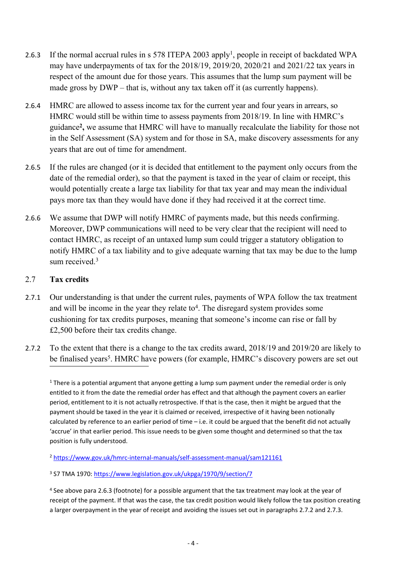- 2.6.3 If the normal accrual rules in s 578 ITEPA 2003 apply<sup>1</sup>, people in receipt of backdated WPA may have underpayments of tax for the 2018/19, 2019/20, 2020/21 and 2021/22 tax years in respect of the amount due for those years. This assumes that the lump sum payment will be made gross by DWP – that is, without any tax taken off it (as currently happens).
- 2.6.4 HMRC are allowed to assess income tax for the current year and four years in arrears, so HMRC would still be within time to assess payments from 2018/19. In line with HMRC's guidance**<sup>2</sup> ,** we assume that HMRC will have to manually recalculate the liability for those not in the Self Assessment (SA) system and for those in SA, make discovery assessments for any years that are out of time for amendment.
- 2.6.5 If the rules are changed (or it is decided that entitlement to the payment only occurs from the date of the remedial order), so that the payment is taxed in the year of claim or receipt, this would potentially create a large tax liability for that tax year and may mean the individual pays more tax than they would have done if they had received it at the correct time.
- 2.6.6 We assume that DWP will notify HMRC of payments made, but this needs confirming. Moreover, DWP communications will need to be very clear that the recipient will need to contact HMRC, as receipt of an untaxed lump sum could trigger a statutory obligation to notify HMRC of a tax liability and to give adequate warning that tax may be due to the lump sum received  $3$

## 2.7 **Tax credits**

- 2.7.1 Our understanding is that under the current rules, payments of WPA follow the tax treatment and will be income in the year they relate to<sup>4</sup>. The disregard system provides some cushioning for tax credits purposes, meaning that someone's income can rise or fall by £2,500 before their tax credits change.
- 2.7.2 To the extent that there is a change to the tax credits award, 2018/19 and 2019/20 are likely to be finalised years<sup>5</sup>. HMRC have powers (for example, HMRC's discovery powers are set out

 $1$  There is a potential argument that anyone getting a lump sum payment under the remedial order is only entitled to it from the date the remedial order has effect and that although the payment covers an earlier period, entitlement to it is not actually retrospective. If that is the case, then it might be argued that the payment should be taxed in the year it is claimed or received, irrespective of it having been notionally calculated by reference to an earlier period of time – i.e. it could be argued that the benefit did not actually 'accrue' in that earlier period. This issue needs to be given some thought and determined so that the tax position is fully understood.

<sup>2</sup> <https://www.gov.uk/hmrc-internal-manuals/self-assessment-manual/sam121161>

<sup>3</sup> S7 TMA 1970: <https://www.legislation.gov.uk/ukpga/1970/9/section/7>

<sup>4</sup> See above para 2.6.3 (footnote) for a possible argument that the tax treatment may look at the year of receipt of the payment. If that was the case, the tax credit position would likely follow the tax position creating a larger overpayment in the year of receipt and avoiding the issues set out in paragraphs 2.7.2 and 2.7.3.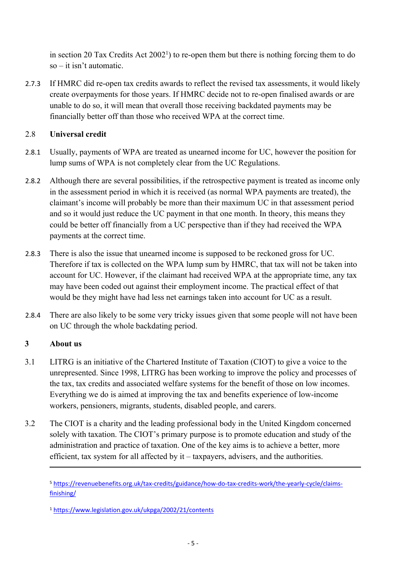in [section](https://www.legislation.gov.uk/ukpga/2002/21/contents) [20](https://www.legislation.gov.uk/ukpga/2002/21/contents) [Tax](https://www.legislation.gov.uk/ukpga/2002/21/contents) [Credits](https://www.legislation.gov.uk/ukpga/2002/21/contents) [Act](https://www.legislation.gov.uk/ukpga/2002/21/contents)  $2002<sup>1</sup>$  $2002<sup>1</sup>$ ) to re-open them but there is nothing forcing them to do so – it isn't automatic.

2.7.3 If HMRC did re-open tax credits awards to reflect the revised tax assessments, it would likely create overpayments for those years. If HMRC decide not to re-open finalised awards or are unable to do so, it will mean that overall those receiving backdated payments may be financially better off than those who received WPA at the correct time.

# 2.8 **Universal credit**

- 2.8.1 Usually, payments of WPA are treated as unearned income for UC, however the position for lump sums of WPA is not completely clear from the UC Regulations.
- 2.8.2 Although there are several possibilities, if the retrospective payment is treated as income only in the assessment period in which it is received (as normal WPA payments are treated), the claimant's income will probably be more than their maximum UC in that assessment period and so it would just reduce the UC payment in that one month. In theory, this means they could be better off financially from a UC perspective than if they had received the WPA payments at the correct time.
- 2.8.3 There is also the issue that unearned income is supposed to be reckoned gross for UC. Therefore if tax is collected on the WPA lump sum by HMRC, that tax will not be taken into account for UC. However, if the claimant had received WPA at the appropriate time, any tax may have been coded out against their employment income. The practical effect of that would be they might have had less net earnings taken into account for UC as a result.
- 2.8.4 There are also likely to be some very tricky issues given that some people will not have been on UC through the whole backdating period.

# **3 About us**

- 3.1 LITRG is an initiative of the Chartered Institute of Taxation (CIOT) to give a voice to the unrepresented. Since 1998, LITRG has been working to improve the policy and processes of the tax, tax credits and associated welfare systems for the benefit of those on low incomes. Everything we do is aimed at improving the tax and benefits experience of low-income workers, pensioners, migrants, students, disabled people, and carers.
- 3.2 The CIOT is a charity and the leading professional body in the United Kingdom concerned solely with taxation. The CIOT's primary purpose is to promote education and study of the administration and practice of taxation. One of the key aims is to achieve a better, more efficient, tax system for all affected by it – taxpayers, advisers, and the authorities.

<sup>1</sup> <https://www.legislation.gov.uk/ukpga/2002/21/contents>

<sup>5</sup> [https://revenuebenefits.org.uk/tax-credits/guidance/how-do-tax-credits-work/the-yearly-cycle/claims](https://revenuebenefits.org.uk/tax-credits/guidance/how-do-tax-credits-work/the-yearly-cycle/claims-finishing/)[finishing/](https://revenuebenefits.org.uk/tax-credits/guidance/how-do-tax-credits-work/the-yearly-cycle/claims-finishing/)